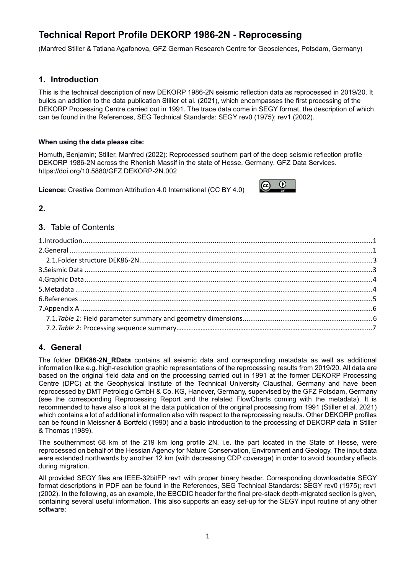## **Technical Report Profile DEKORP 1986-2N - Reprocessing**

(Manfred Stiller & Tatiana Agafonova, GFZ German Research Centre for Geosciences, Potsdam, Germany)

### **1. Introduction**

This is the technical description of new DEKORP 1986-2N seismic reflection data as reprocessed in 2019/20. It builds an addition to the data publication Stiller et al. (2021), which encompasses the first processing of the DEKORP Processing Centre carried out in 1991. The trace data come in SEGY format, the description of which can be found in the References, SEG Technical Standards: SEGY rev0 (1975); rev1 (2002).

#### **When using the data please cite:**

Homuth, Benjamin; Stiller, Manfred (2022): Reprocessed southern part of the deep seismic reflection profile DEKORP 1986-2N across the Rhenish Massif in the state of Hesse, Germany. GFZ Data Services. <https://doi.org/10.5880/GFZ.DEKORP-2N.002>

**Licence:** [Creative Common Attribution 4.0 International \(CC BY 4.0\)](https://creativecommons.org/licenses/by-nc/4.0/)



**2.**

#### **3.** Table of Contents

### **4. General**

The folder **DEK86-2N\_RData** contains all seismic data and corresponding metadata as well as additional information like e.g. high-resolution graphic representations of the reprocessing results from 2019/20. All data are based on the original field data and on the processing carried out in 1991 at the former DEKORP Processing Centre (DPC) at the Geophysical Institute of the Technical University Clausthal, Germany and have been reprocessed by DMT Petrologic GmbH & Co. KG, Hanover, Germany, supervised by the GFZ Potsdam, Germany (see the corresponding Reprocessing Report and the related FlowCharts coming with the metadata). It is recommended to have also a look at the data publication of the original processing from 1991 (Stiller et al. 2021) which contains a lot of additional information also with respect to the reprocessing results. Other DEKORP profiles can be found in Meissner & Bortfeld (1990) and a basic introduction to the processing of DEKORP data in Stiller & Thomas (1989).

The southernmost 68 km of the 219 km long profile 2N, i.e. the part located in the State of Hesse, were reprocessed on behalf of the Hessian Agency for Nature Conservation, Environment and Geology. The input data were extended northwards by another 12 km (with decreasing CDP coverage) in order to avoid boundary effects during migration.

All provided SEGY files are IEEE-32bitFP rev1 with proper binary header. Corresponding downloadable SEGY format descriptions in PDF can be found in the References, SEG Technical Standards: SEGY rev0 (1975); rev1 (2002). In the following, as an example, the EBCDIC header for the final pre-stack depth-migrated section is given, containing several useful information. This also supports an easy set-up for the SEGY input routine of any other software: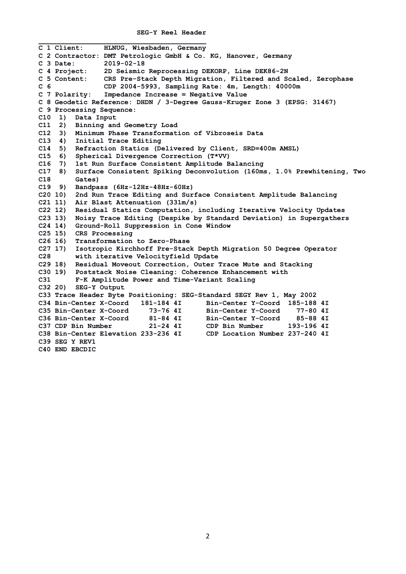```
 SEG-Y Reel Header
```
**\_\_\_\_\_\_\_\_\_\_\_\_\_\_\_\_\_\_\_\_\_\_\_\_\_\_\_\_\_\_\_\_\_\_\_\_\_\_\_\_\_ C 1 Client: HLNUG, Wiesbaden, Germany C 2 Contractor: DMT Petrologic GmbH & Co. KG, Hanover, Germany C 3 Date: 2019-02-18 C 4 Project: 2D Seismic Reprocessing DEKORP, Line DEK86-2N C 5 Content: CRS Pre-Stack Depth Migration, Filtered and Scaled, Zerophase C 6 CDP 2004-5993, Sampling Rate: 4m, Length: 40000m C 7 Polarity: Impedance Increase = Negative Value C 8 Geodetic Reference: DHDN / 3-Degree Gauss-Kruger Zone 3 (EPSG: 31467) C 9 Processing Sequence: C10 1) Data Input C11 2) Binning and Geometry Load C12 3) Minimum Phase Transformation of Vibroseis Data C13 4) Initial Trace Editing C14 5) Refraction Statics (Delivered by Client, SRD=400m AMSL) C15 6) Spherical Divergence Correction (T\*VV) C16 7) 1st Run Surface Consistent Amplitude Balancing C17 8) Surface Consistent Spiking Deconvolution (160ms, 1.0% Prewhitening, Two C18 Gates) C19 9) Bandpass (6Hz-12Hz-48Hz-60Hz) C20 10) 2nd Run Trace Editing and Surface Consistent Amplitude Balancing C21 11) Air Blast Attenuation (331m/s) C22 12) Residual Statics Computation, including Iterative Velocity Updates C23 13) Noisy Trace Editing (Despike by Standard Deviation) in Supergathers C24 14) Ground-Roll Suppression in Cone Window C25 15) CRS Processing C26 16) Transformation to Zero-Phase C27 17) Isotropic Kirchhoff Pre-Stack Depth Migration 50 Degree Operator C28 with iterative Velocityfield Update C29 18) Residual Moveout Correction, Outer Trace Mute and Stacking C30 19) Poststack Noise Cleaning: Coherence Enhancement with C31 F-K Amplitude Power and Time-Variant Scaling C32 20) SEG-Y Output C33 Trace Header Byte Positioning: SEG-Standard SEGY Rev 1, May 2002 C34 Bin-Center X-Coord 181-184 4I Bin-Center Y-Coord 185-188 4I**  C35 Bin-Center X-Coord 73-76 4I<br>C36 Bin-Center X-Coord 81-84 4I **C36 Bin-Center X-Coord 81-84 4I Bin-Center Y-Coord 85-88 4I C37 CDP Bin Number 21-24 4I CDP Bin Number 193-196 4I C38 Bin-Center Elevation 233-236 4I CDP Location Number 237-240 4I C39 SEG Y REV1 C40 END EBCDIC**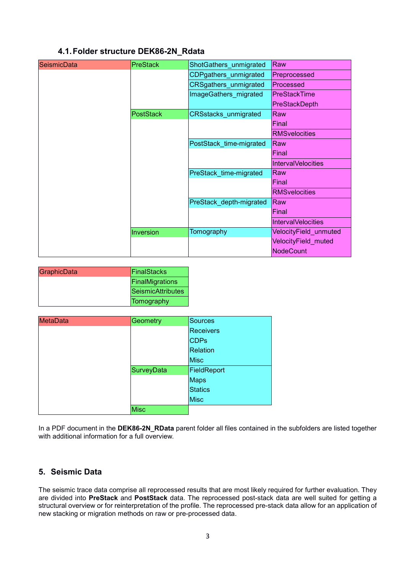## **4.1.Folder structure DEK86-2N\_Rdata**

| <b>SeismicData</b> | <b>PreStack</b>  | ShotGathers_unmigrated       | Raw                          |
|--------------------|------------------|------------------------------|------------------------------|
|                    |                  | CDPgathers_unmigrated        | Preprocessed                 |
|                    |                  | <b>CRSgathers_unmigrated</b> | Processed                    |
|                    |                  | ImageGathers_migrated        | <b>PreStackTime</b>          |
|                    |                  |                              | <b>PreStackDepth</b>         |
|                    | <b>PostStack</b> | <b>CRSstacks unmigrated</b>  | Raw                          |
|                    |                  |                              | Final                        |
|                    |                  |                              | <b>RMSvelocities</b>         |
|                    |                  | PostStack time-migrated      | Raw                          |
|                    |                  |                              | Final                        |
|                    |                  |                              | <b>IntervalVelocities</b>    |
|                    |                  | PreStack time-migrated       | Raw                          |
|                    |                  |                              | Final                        |
|                    |                  |                              | <b>RMSvelocities</b>         |
|                    |                  | PreStack depth-migrated      | Raw                          |
|                    |                  |                              | Final                        |
|                    |                  |                              | <b>IntervalVelocities</b>    |
|                    | Inversion        | Tomography                   | <b>VelocityField_unmuted</b> |
|                    |                  |                              | VelocityField muted          |
|                    |                  |                              | <b>NodeCount</b>             |
|                    |                  |                              |                              |

| GraphicData | FinalStacks       |
|-------------|-------------------|
|             | FinalMigrations   |
|             | SeismicAttributes |
|             | Tomography        |

| <b>MetaData</b> | Geometry    | Sources          |
|-----------------|-------------|------------------|
|                 |             | <b>Receivers</b> |
|                 |             | <b>CDPs</b>      |
|                 |             | <b>Relation</b>  |
|                 |             | <b>Misc</b>      |
|                 | SurveyData  | FieldReport      |
|                 |             | <b>Maps</b>      |
|                 |             | <b>Statics</b>   |
|                 |             | <b>Misc</b>      |
|                 | <b>Misc</b> |                  |

In a PDF document in the **DEK86-2N\_RData** parent folder all files contained in the subfolders are listed together with additional information for a full overview.

## **5. Seismic Data**

The seismic trace data comprise all reprocessed results that are most likely required for further evaluation. They are divided into **PreStack** and **PostStack** data. The reprocessed post-stack data are well suited for getting a structural overview or for reinterpretation of the profile. The reprocessed pre-stack data allow for an application of new stacking or migration methods on raw or pre-processed data.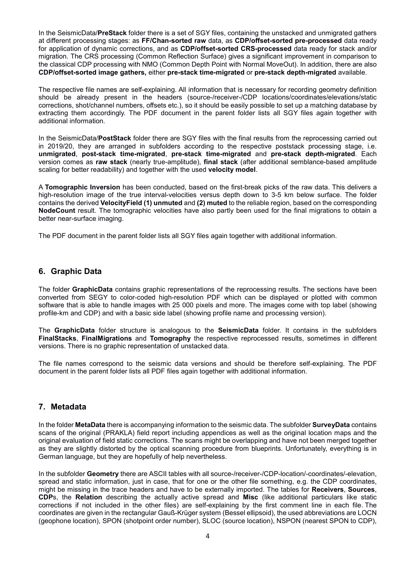In the SeismicData/**PreStack** folder there is a set of SGY files, containing the unstacked and unmigrated gathers at different processing stages: as **FF/Chan-sorted raw** data, as **CDP/offset-sorted pre-processed** data ready for application of dynamic corrections, and as **CDP/offset-sorted CRS-processed** data ready for stack and/or migration. The CRS processing (Common Reflection Surface) gives a significant improvement in comparison to the classical CDP processing with NMO (Common Depth Point with Normal MoveOut). In addition, there are also **CDP/offset-sorted image gathers,** either **pre-stack time-migrated** or **pre-stack depth-migrated** available.

The respective file names are self-explaining. All information that is necessary for recording geometry definition should be already present in the headers (source-/receiver-/CDP locations/coordinates/elevations/static corrections, shot/channel numbers, offsets etc.), so it should be easily possible to set up a matching database by extracting them accordingly. The PDF document in the parent folder lists all SGY files again together with additional information.

In the SeismicData/**PostStack** folder there are SGY files with the final results from the reprocessing carried out in 2019/20, they are arranged in subfolders according to the respective poststack processing stage, i.e. **unmigrated**, **post-stack time-migrated**, **pre-stack time-migrated** and **pre-stack depth-migrated**. Each version comes as **raw stack** (nearly true-amplitude), **final stack** (after additional semblance-based amplitude scaling for better readability) and together with the used **velocity model**.

A **Tomographic Inversion** has been conducted, based on the first-break picks of the raw data. This delivers a high-resolution image of the true interval-velocities versus depth down to 3-5 km below surface. The folder contains the derived **VelocityField (1) unmuted** and **(2) muted** to the reliable region, based on the corresponding **NodeCount** result. The tomographic velocities have also partly been used for the final migrations to obtain a better near-surface imaging.

The PDF document in the parent folder lists all SGY files again together with additional information.

#### **6. Graphic Data**

The folder **GraphicData** contains graphic representations of the reprocessing results. The sections have been converted from SEGY to color-coded high-resolution PDF which can be displayed or plotted with common software that is able to handle images with 25 000 pixels and more. The images come with top label (showing profile-km and CDP) and with a basic side label (showing profile name and processing version).

The **GraphicData** folder structure is analogous to the **SeismicData** folder. It contains in the subfolders **FinalStacks**, **FinalMigrations** and **Tomography** the respective reprocessed results, sometimes in different versions. There is no graphic representation of unstacked data.

The file names correspond to the seismic data versions and should be therefore self-explaining. The PDF document in the parent folder lists all PDF files again together with additional information.

#### **7. Metadata**

In the folder **MetaData** there is accompanying information to the seismic data. The subfolder **SurveyData** contains scans of the original (PRAKLA) field report including appendices as well as the original location maps and the original evaluation of field static corrections. The scans might be overlapping and have not been merged together as they are slightly distorted by the optical scanning procedure from blueprints. Unfortunately, everything is in German language, but they are hopefully of help nevertheless.

In the subfolder **Geometry** there are ASCII tables with all source-/receiver-/CDP-location/-coordinates/-elevation, spread and static information, just in case, that for one or the other file something, e.g. the CDP coordinates, might be missing in the trace headers and have to be externally imported. The tables for **Receivers**, **Sources**, **CDP**s, the **Relation** describing the actually active spread and **Misc** (like additional particulars like static corrections if not included in the other files) are self-explaining by the first comment line in each file. The coordinates are given in the rectangular Gauß-Krüger system (Bessel ellipsoid), the used abbreviations are LOCN (geophone location), SPON (shotpoint order number), SLOC (source location), NSPON (nearest SPON to CDP),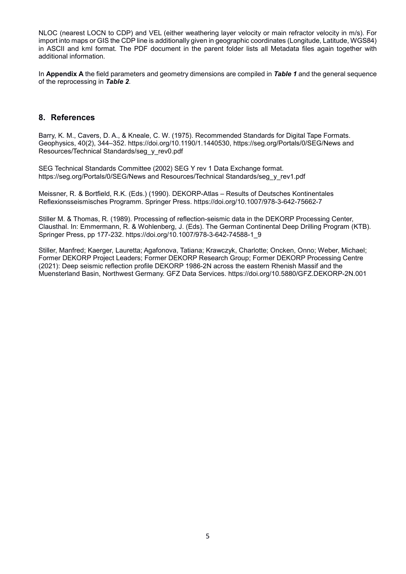NLOC (nearest LOCN to CDP) and VEL (either weathering layer velocity or main refractor velocity in m/s). For import into maps or GIS the CDP line is additionally given in geographic coordinates (Longitude, Latitude, WGS84) in ASCII and kml format. The PDF document in the parent folder lists all Metadata files again together with additional information.

In **Appendix A** the field parameters and geometry dimensions are compiled in *Table 1* and the general sequence of the reprocessing in *Table 2*.

#### **8. References**

Barry, K. M., Cavers, D. A., & Kneale, C. W. (1975). Recommended Standards for Digital Tape Formats. Geophysics, 40(2), 344–352. https://doi.org/10.1190/1.1440530, [https://seg.org/Portals/0/SEG/News and](https://seg.org/Portals/0/SEG/News%20and%20Resources/Technical%20Standards/seg_y_rev0.pdf)  [Resources/Technical Standards/seg\\_y\\_rev0.pdf](https://seg.org/Portals/0/SEG/News%20and%20Resources/Technical%20Standards/seg_y_rev0.pdf)

SEG Technical Standards Committee (2002) SEG Y rev 1 Data Exchange format. https://seg.org/Portals/0/SEG/News and Resources/Technical Standards/seg\_y\_rev1.pdf

Meissner, R. & Bortfield, R.K. (Eds.) (1990). DEKORP-Atlas – Results of Deutsches Kontinentales Reflexionsseismisches Programm. Springer Press. https://doi.org/10.1007/978-3-642-75662-7

Stiller M. & Thomas, R. (1989). Processing of reflection-seismic data in the DEKORP Processing Center, Clausthal. In: Emmermann, R. & Wohlenberg, J. (Eds). The German Continental Deep Drilling Program (KTB). Springer Press, pp 177-232. https://doi.org/10.1007/978-3-642-74588-1\_9

Stiller, Manfred; Kaerger, Lauretta; Agafonova, Tatiana; Krawczyk, Charlotte; Oncken, Onno; Weber, Michael; Former DEKORP Project Leaders; Former DEKORP Research Group; Former DEKORP Processing Centre (2021): Deep seismic reflection profile DEKORP 1986-2N across the eastern Rhenish Massif and the Muensterland Basin, Northwest Germany. GFZ Data Services. https://doi.org/10.5880/GFZ.DEKORP-2N.001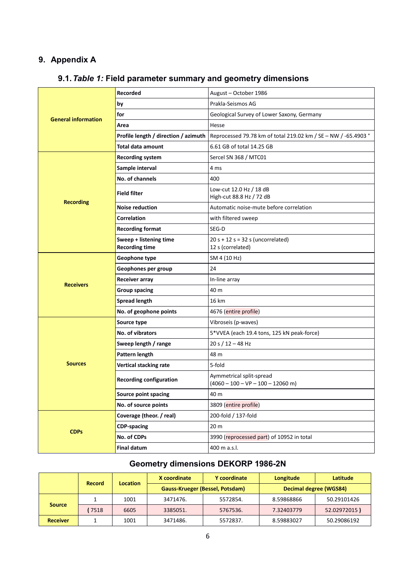## **9. Appendix A**

| 9.1. Table 1: Field parameter summary and geometry dimensions |  |  |
|---------------------------------------------------------------|--|--|
|---------------------------------------------------------------|--|--|

|                            | Recorded                                        | August - October 1986                                           |  |
|----------------------------|-------------------------------------------------|-----------------------------------------------------------------|--|
| <b>General information</b> | by                                              | Prakla-Seismos AG                                               |  |
|                            | for                                             | Geological Survey of Lower Saxony, Germany                      |  |
|                            | Area                                            | Hesse                                                           |  |
|                            | Profile length / direction / azimuth            | Reprocessed 79.78 km of total 219.02 km / SE - NW / -65.4903 °  |  |
|                            | Total data amount                               | 6.61 GB of total 14.25 GB                                       |  |
|                            | <b>Recording system</b>                         | Sercel SN 368 / MTC01                                           |  |
|                            | Sample interval                                 | 4 ms                                                            |  |
|                            | No. of channels                                 | 400                                                             |  |
|                            | <b>Field filter</b>                             | Low-cut 12.0 Hz / 18 dB<br>High-cut 88.8 Hz / 72 dB             |  |
| <b>Recording</b>           | <b>Noise reduction</b>                          | Automatic noise-mute before correlation                         |  |
|                            | <b>Correlation</b>                              | with filtered sweep                                             |  |
|                            | <b>Recording format</b>                         | SEG-D                                                           |  |
|                            | Sweep + listening time<br><b>Recording time</b> | $20 s + 12 s = 32 s$ (uncorrelated)<br>12 s (correlated)        |  |
|                            | Geophone type                                   | SM 4 (10 Hz)                                                    |  |
|                            | Geophones per group                             | 24                                                              |  |
| <b>Receivers</b>           | Receiver array                                  | In-line array                                                   |  |
|                            | <b>Group spacing</b>                            | 40 m                                                            |  |
|                            | Spread length                                   | 16 km                                                           |  |
|                            | No. of geophone points                          | 4676 (entire profile)                                           |  |
|                            | Source type                                     | Vibroseis (p-waves)                                             |  |
|                            | No. of vibrators                                | 5*VVEA (each 19.4 tons, 125 kN peak-force)                      |  |
|                            | Sweep length / range                            | 20 s $/$ 12 - 48 Hz                                             |  |
|                            | Pattern length                                  | 48 m                                                            |  |
| <b>Sources</b>             | Vertical stacking rate                          | 5-fold                                                          |  |
|                            | <b>Recording configuration</b>                  | Aymmetrical split-spread<br>$(4060 - 100 - VP - 100 - 12060 m)$ |  |
|                            | Source point spacing                            | 40 m                                                            |  |
|                            | No. of source points                            | 3809 (entire profile)                                           |  |
|                            | Coverage (theor. / real)                        | 200-fold / 137-fold                                             |  |
|                            | <b>CDP-spacing</b>                              | 20 m                                                            |  |
| <b>CDPs</b>                | No. of CDPs                                     | 3990 (reprocessed part) of 10952 in total                       |  |
|                            | <b>Final datum</b>                              | 400 m a.s.l.                                                    |  |

# **Geometry dimensions DEKORP 1986-2N**

|                 |                                  |      | X coordinate                           | Y coordinate | Longitude              | Latitude     |
|-----------------|----------------------------------|------|----------------------------------------|--------------|------------------------|--------------|
|                 | <b>Location</b><br><b>Record</b> |      | <b>Gauss-Krueger (Bessel, Potsdam)</b> |              | Decimal degree (WGS84) |              |
|                 |                                  | 1001 | 3471476.                               | 5572854.     | 8.59868866             | 50.29101426  |
| <b>Source</b>   | 7518                             | 6605 | 3385051.                               | 5767536.     | 7.32403779             | 52.02972015) |
| <b>Receiver</b> |                                  | 1001 | 3471486.                               | 5572837.     | 8.59883027             | 50.29086192  |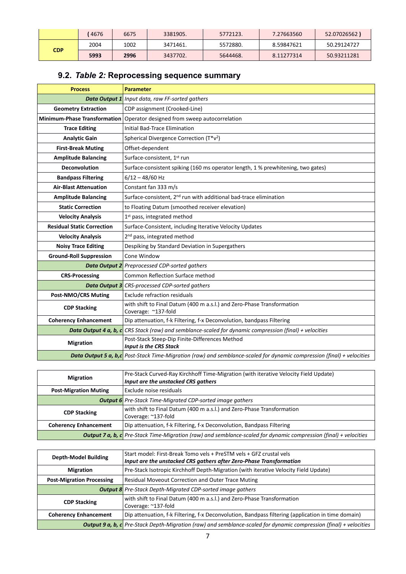|            | 4676 | 6675 | 3381905. | 5772123. | 7.27663560 | 52.07026562) |
|------------|------|------|----------|----------|------------|--------------|
| <b>CDP</b> | 2004 | 1002 | 3471461. | 5572880. | 8.59847621 | 50.29124727  |
|            | 5993 | 2996 | 3437702. | 5644468. | 8.11277314 | 50.93211281  |

# **9.2.** *Table 2:* **Reprocessing sequence summary**

| <b>Process</b>                    | <b>Parameter</b>                                                                                                       |
|-----------------------------------|------------------------------------------------------------------------------------------------------------------------|
|                                   | <b>Data Output 1</b> Input data, raw FF-sorted gathers                                                                 |
| <b>Geometry Extraction</b>        | CDP assignment (Crooked-Line)                                                                                          |
|                                   | Minimum-Phase Transformation Operator designed from sweep autocorrelation                                              |
| <b>Trace Editing</b>              | <b>Initial Bad-Trace Elimination</b>                                                                                   |
| <b>Analytic Gain</b>              | Spherical Divergence Correction (T*v <sup>2</sup> )                                                                    |
| <b>First-Break Muting</b>         | Offset-dependent                                                                                                       |
| <b>Amplitude Balancing</b>        | Surface-consistent, 1 <sup>st</sup> run                                                                                |
| <b>Deconvolution</b>              | Surface-consistent spiking (160 ms operator length, 1 % prewhitening, two gates)                                       |
| <b>Bandpass Filtering</b>         | $6/12 - 48/60$ Hz                                                                                                      |
| <b>Air-Blast Attenuation</b>      | Constant fan 333 m/s                                                                                                   |
| <b>Amplitude Balancing</b>        | Surface-consistent, 2 <sup>nd</sup> run with additional bad-trace elimination                                          |
| <b>Static Correction</b>          | to Floating Datum (smoothed receiver elevation)                                                                        |
| <b>Velocity Analysis</b>          | 1 <sup>st</sup> pass, integrated method                                                                                |
| <b>Residual Static Correction</b> | Surface-Consistent, including Iterative Velocity Updates                                                               |
| <b>Velocity Analysis</b>          | 2 <sup>nd</sup> pass, integrated method                                                                                |
| <b>Noisy Trace Editing</b>        | Despiking by Standard Deviation in Supergathers                                                                        |
| <b>Ground-Roll Suppression</b>    | Cone Window                                                                                                            |
|                                   | <b>Data Output 2</b> Preprocessed CDP-sorted gathers                                                                   |
| <b>CRS-Processing</b>             | <b>Common Reflection Surface method</b>                                                                                |
|                                   | <b>Data Output 3</b> CRS-processed CDP-sorted gathers                                                                  |
| <b>Post-NMO/CRS Muting</b>        | Exclude refraction residuals                                                                                           |
| <b>CDP Stacking</b>               | with shift to Final Datum (400 m a.s.l.) and Zero-Phase Transformation<br>Coverage: ~137-fold                          |
| <b>Coherency Enhancement</b>      | Dip attenuation, f-k Filtering, f-x Deconvolution, bandpass Filtering                                                  |
|                                   | Data Output 4 a, b, c CRS Stack (raw) and semblance-scaled for dynamic compression (final) + velocities                |
| <b>Migration</b>                  | Post-Stack Steep-Dip Finite-Differences Method                                                                         |
|                                   | <b>Input is the CRS Stack</b>                                                                                          |
|                                   | Data Output 5 a, b,c Post-Stack Time-Migration (raw) and semblance-scaled for dynamic compression (final) + velocities |

| <b>Migration</b>             | Pre-Stack Curved-Ray Kirchhoff Time-Migration (with iterative Velocity Field Update)<br>Input are the unstacked CRS gathers |
|------------------------------|-----------------------------------------------------------------------------------------------------------------------------|
| <b>Post-Migration Muting</b> | Exclude noise residuals                                                                                                     |
|                              | <b>Output 6</b> Pre-Stack Time-Migrated CDP-sorted image gathers                                                            |
| <b>CDP Stacking</b>          | with shift to Final Datum (400 m a.s.l.) and Zero-Phase Transformation<br>Coverage: ~137-fold                               |
| <b>Coherency Enhancement</b> | Dip attenuation, f-k Filtering, f-x Deconvolution, Bandpass Filtering                                                       |
|                              | <b>Output 7 a, b, c</b> Pre-Stack Time-Migration (raw) and semblance-scaled for dynamic compression (final) + velocities    |

| <b>Depth-Model Building</b>      | Start model: First-Break Tomo vels + PreSTM vels + GFZ crustal vels                                                       |
|----------------------------------|---------------------------------------------------------------------------------------------------------------------------|
|                                  | Input are the unstacked CRS gathers after Zero-Phase Transformation                                                       |
| <b>Migration</b>                 | Pre-Stack Isotropic Kirchhoff Depth-Migration (with iterative Velocity Field Update)                                      |
| <b>Post-Migration Processing</b> | <b>Residual Moveout Correction and Outer Trace Muting</b>                                                                 |
|                                  | <b>Output 8</b> Pre-Stack Depth-Migrated CDP-sorted image gathers                                                         |
| <b>CDP Stacking</b>              | with shift to Final Datum (400 m a.s.l.) and Zero-Phase Transformation                                                    |
|                                  | Coverage: ~137-fold                                                                                                       |
| <b>Coherency Enhancement</b>     | Dip attenuation, f-k Filtering, f-x Deconvolution, Bandpass filtering (application in time domain)                        |
|                                  | <b>Output 9 a, b, c</b> Pre-Stack Depth-Migration (raw) and semblance-scaled for dynamic compression (final) + velocities |